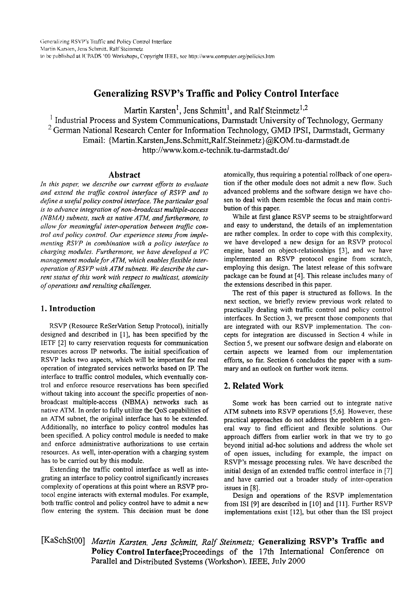# **Generalizing RSVP's Traffic and Policy Control Interface**

Martin Karsten<sup>1</sup>, Jens Schmitt<sup>1</sup>, and Ralf Steinmetz<sup>1,2</sup>

<sup>1</sup> Industrial Process and System Communications, Darmstadt University of Technology, Germany <sup>2</sup> German National Research Center for Information Technology, GMD IPSI, Darmstadt, Germany Email: {Martin.Karsten,Jens.Schmitt,Ralf.Steinmetz}@KOM.tu-darmstadt.de http://www.kom.e-technik.tu-darmstadt.de/

#### Abstract

In this paper, we describe our current efforts to evaluate and extend the traffic control interface of RSVP and to define a useful policy control interface. The particular goal is to advance integration of non-broadcast multiple-access (NBMA) subnets, such as native ATM, and furthermore, to allow for meaningful inter-operation between traffic control and policy control. Our experience stems from implementing RSVP in combination with a policy interface to charging modules. Furthermore, we have developed a VC management module for ATM, which enables flexible interoperation of RSVP with ATM subnets. We describe the current status of this work with respect to multicast, atomicity of operations and resulting challenges.

## 1. Introduction

RSVP (Resource ReSerVation Setup Protocol), initially designed and described in [1], has been specified by the IETF [2] to carry reservation requests for communication resources across IP networks. The initial specification of RSVP lacks two aspects, which will be important for real operation of integrated services networks based on IP. The interface to traffic control modules, which eventually control and enforce resource reservations has been specified without taking into account the specific properties of nonbroadcast multiple-access (NBMA) networks such as native ATM. In order to fully utilize the QoS capabilities of an ATM subnet, the original interface has to be extended. Additionally, no interface to policy control modules has been specified. A policy control module is needed to make and enforce administrative authorizations to use certain resources. As well, inter-operation with a charging system has to be carried out by this module.

Extending the traffic control interface as well as integrating an interface to policy control significantly increases complexity of operations at this point where an RSVP protocol engine interacts with external modules. For example, both traffic control and policy control have to admit a new flow entering the system. This decision must be done atomically, thus requiring a potential rollback of one operation if the other module does not admit a new flow. Such advanced problems and the software design we have chosen to deal with them resemble the focus and main contribution of this paper.

While at first glance RSVP seems to be straightforward and easy to understand, the details of an implementation are rather complex. In order to cope with this complexity, we have developed a new design for an RSVP protocol engine, based on object-relationships [3], and we have implemented an RSVP protocol engine from scratch, employing this design. The latest release of this software package can be found at [4]. This release includes many of the extensions described in this paper.

The rest of this paper is structured as follows. In the next section, we briefly review previous work related to practically dealing with traffic control and policy control interfaces. In Section 3, we present those components that are integrated with our RSVP implementation. The concepts for integration are discussed in Section 4 while in Section 5, we present our software design and elaborate on certain aspects we learned from our implementation efforts, so far. Section 6 concludes the paper with a summary and an outlook on further work items.

## 2. Related Work

Some work has been carried out to integrate native ATM subnets into RSVP operations [5,6]. However, these practical approaches do not address the problem in a general way to find efficient and flexible solutions. Our approach differs from earlier work in that we try to go beyond initial ad-hoc solutions and address the whole set of open issues, including for example, the impact on RSVP's message processing rules. We have described the initial design of an extended traffic control interface in [7] and have carried out a broader study of inter-operation issues in [8].

Design and operations of the RSVP implementation from ISI [9] are described in [10] and [11]. Further RSVP implementations exist [12], but other than the ISI project

[KaSchSt00] Martin Karsten, Jens Schmitt, Ralf Steinmetz; Generalizing RSVP's Traffic and Policy Control Interface; Proceedings of the 17th International Conference on Parallel and Distributed Systems (Workshon). IEEE, July 2000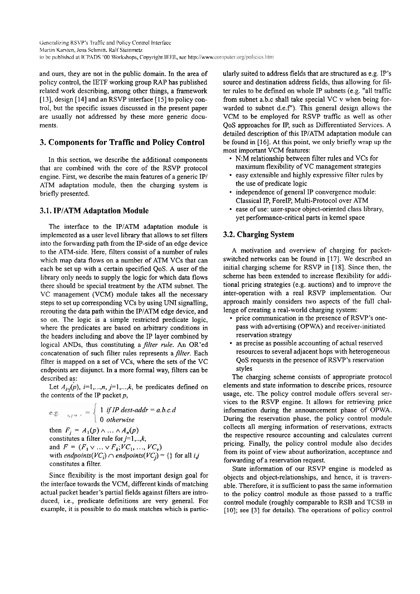Generalizing RSVP's Traffic and Policy Control Interface. Martin Karsten, Jens Schmitt, Ralf Steinmetz io be published at ICPADS '00 Workshops, Copyright IEEE, see http://www.computer.org/policies.htm

and ours, they are not in the public domain. In the area of policy control, the IETF working group RAP has published related work describing, among other things, a framework [13], design [14] and an RSVP interface [15] to policy control, but the specific issues discussed in the present paper are usually not addressed by these more generic documents.

## **3. Components for Traffic and Policy Control**

In this section, we describe the additional components that are combined with the core of the RSVP protocol engine. First, we describe the main features of a generic IP/ ATM adaptation module, then the charging system is briefly presented.

#### **3.1. IP/ATM Adaptation Module**

The interface to the IP/ATM adaptation module is implemented as a user level library that allows to set filters into the forwarding path from the IP-side of an edge device to the ATM-side. Here, filters consist of a number of rules which map data flows on a number of ATM VCs that can each be set up with a certain specified QoS. A user of the library only needs to supply the logic for which data flows there should be special treatment by the ATM subnet. The VC management (VCM) module takes all the necessary steps to set up corresponding VCs by using UNI signalling, rerouting the data path within the IP/ATM edge device, and so on. The logic is a simple restricted predicate logic, where the predicates are based on arbitrary conditions in the headers including and above the IP layer combined by logical ANDs, thus constituting a *filter rule*. An OR'ed concatenation of such filter rules represents a *filter*. Each filter is mapped on a set of VCs, where the Sets of the VC endpoints are disjunct. In a more formal way, filters can be described as:

Let  $A_{i,j}(p)$ ,  $i=1,...,n$ ,  $j=1,...,k$ , be predicates defined on the contents of the IP packet  $p$ ,

e.g. 
$$
E_{i,j} = \begin{cases} 1 & \text{if IP dest-addr = a.b.c.d} \\ 0 & \text{otherwise} \end{cases}
$$
  
then  $F_j = A_1(p) \land ... \land A_n(p)$   
constitutes a filter rule for  $j=1,..,k$ ,  
and  $F = (F_1 \lor ... \lor F_k; VC_1, ..., VC_v)$   
with endpoints $(VC_i) \cap endpoints(VC_j) = \{\}$  for all  $i,j$   
constitutes a filter.

Since flexibility is the most important design goal for the interface towards the VCM, different kinds of matching actual packet header's partial fields against filters are introduced, i.e., predicate definitions are very general. For example, it is possible to do mask matches which is particularly suited to address fields that are structured as e.g. IP's source and destination address fields, thus allowing for filter rules to be defined on whole IP subnets (e.g. "all traffic from subnet a.b.c shall take special VC V when being forwarded to subnet d.e.f"). This general design allows the VCM to be employed for RSVP traffic as well as other QoS approaches for IP, such as Differentiated Services. A detailed description of this IP/ATM adaptation module can be found in [16]. At this point, we only briefly wrap up the most important VCM features:

- N:M relationship between filter rules and VCs for maximum flexibility of VC management strategies
- easy extensible and highly expressive filter rules by the use of predicate logic
- independence of general IP convergence module: Classical IP, ForeIP, Multi-Protocol over ATM
- ease of use: user-space object-oriented class library, yet performance-cntical parts in kerne1 space

## **3.2. Charging System**

A motivation and overview of charging for packetswitched networks can be found in [17]. We described an initial charging scheme for RSVP in [18]. Since then, the scheme has been extended to increase flexibility for additional pricing strategies (e.g. auctions) and to improve the inter-operation with a real RSVP implementation. Our approach mainly considers two aspects of the full challenge of creating a real-world charging system:

- price communication in the presence of RSVP's onepass with advertising (OPWA) and receiver-initiated reservation strategy
- as precise as possible accounting of actual reserved resources to several adjacent hops with heterogeneous QoS requests in the presence of RSVP's reservation styles

The charging scheme consists of appropriate protocol elements and state information to describe prices, resource usage, etc. The policy control module offers several services to the RSVP engine. It allows for retrieving price information during the announcement phase of OPWA. During the reservation phase, the policy control module collects all merging information of reservations, extracts the respective resource accounting and calculates current pricing. Finally, the policy control module also decides from its point of view about authorization, acceptance and forwarding of a reservation request.

State information of our RSVP engine is modeled as objects and object-relationships, and hence, it is traversable. Therefore, it is sufficient to pass the Same information to the policy control module as those passed to a traffic control module (roughly comparable to RSB and TCSB in [lo]; See **[3]** for details). The operations of policy control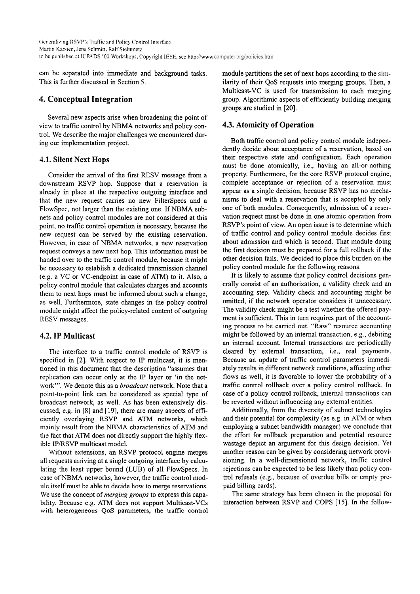can be separated into immediate and background tasks. This is further discussed in Section 5.

## **4. Conceptual Integration**

Several new aspects arise when broadening the point of view to traffic control by NBMA networks and policy control. We describe the major challenges we encountered during our implementation project.

### **4.1. Silent Next Hops**

Consider the arrival of the fist RESV message from a downstream RSVP hop. Suppose that a reservation is already in place at the respective outgoing interface and that the new request carries no new FilterSpecs and a FlowSpec, not larger than the existing one. If NBMA subnets and policy control modules are not considered at this point, no traffic control operation is necessary, because the new request can be served by the existing reservation. However, in case of NBMA networks, a new reservation request conveys a new next hop. This information must be handed over to the traffic control module, because it might be necessary to establish a dedicated transmission channel (e.g. a VC or VC-endpoint in case of ATM) to it. Also, a policy control module that calculates charges and accounts them to next hops must be informed about such a change, as well. Furthermore, state changes in the policy control module might affect the policy-related content of outgoing RESV messages.

## **4.2. IP Multicast**

The interface to a traffic control module of RSVP is specified in [2]. With respect to IP multicast, it is mentioned in this docurnent that the description "assumes that replication can occur only at the IP layer or 'in the network'". We denote this as a *broadcast* network. Note that a point-to-point link can be considered as special type of broadcast network, as well. As has been extensively discussed, e.g. in [8] and [19], there are many aspects of efficiently overlaying RSVP and ATM networks, which mainly result from the NBMA characteristics of ATM and the fact that ATM does not directly support the highly flexible IP/RSVP multicast model.

Without extensions, an RSVP protocol engine merges all requests arriving at a single outgoing interface by calculating the least upper bound (LUB) of all FlowSpecs. In case of NBMA networks, however, the traffic control module itself must be able to decide how to merge reservations. We use the concept of **merging** *groups* to express this capability. Because e.g. **ATM** does not support Multicast-VCs with heterogeneous QoS parameters, the traffic control

module partitions the set of next hops according to the similarity of their QoS requests into merging groups. Then, a Multicast-VC is used for transmission to each merging group. Algorithmic aspects of efficiently building merging groups are studied in [20].

## **4.3. Atomicity of Operation**

Both traffic control and policy control module independently decide about acceptance of a reservation, based on their respective state and configuration. Each operation must be done atornically, i.e., having an all-or-nothing property. Furthermore, for the core RSVP protocol engine, complete acceptance or rejection of a reservation must appear as a single decision, because RSVP has no mechanisms to deal with a reservation that is accepted by only one of both modules. Consequently, admission of a reservation request must be done in one atomic operation from RSVP's point of view. An open issue is to determine which of traffic control and policy control module decides first about admission and which is second. That module doing the first decision must be prepared for a full rollback if the other decision fails. We decided to place this burden on the policy control module for the following reasons.

It is likely to assume that policy control decisions generally consist of an authorization, a validity check and an accounting step. Validity check and accounting might be omitted, if the network Operator considers it unnecessary. The validity check might be a test whether the offered payment is sufficient. This in turn requires part of the accounting process to be carried out. "Raw" resource accounting might be followed by an internal transaction, e.g., debiting an intemal account. Interna1 transactions are periodically cleared by extemal transaction, i.e., real payments. Because an update of traffic control parameters immediately results in different network conditions, affecting other flows as well, it is favorable to lower the probability of a traffic control rollback over a policy control rollback. In case of a policy control rollback, intemal transactions can be reverted without influencing any external entities.

Additionally, fiom the diversity of subnet technologies and their potential for complexity (as e.g. in ATM or when employing a subnet bandwidth manager) we conclude that the effort for rollback preparation and potential resource wastage depict an argument for this design decision. Yet another reason can be given by considering network provisioning. In a well-dimensioned network, traffic control rejections can be expected to be less likely than policy control refusals (e.g., because of overdue bills or empty prepaid billing cards).

The same strategy has been chosen in the proposal for interaction between RSVP and COPS [15]. In the follow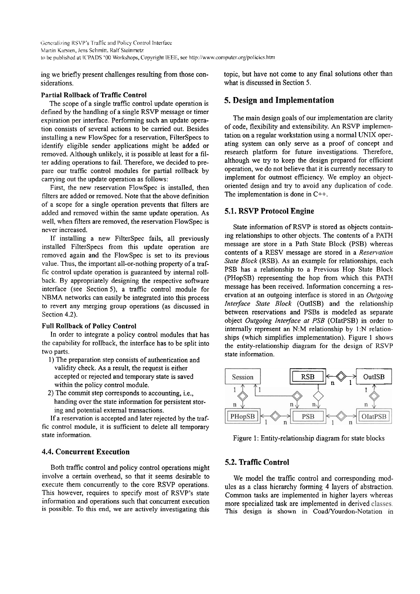Generalizing RSVP's Traffic and Policy Control Interface Martin Karsten, Jens Schmitt, Ralf Steinmetz to be published at ICPADS '00 Workshops, Copyright IEEE, see http://www.computer.org/policies.htm

ing we briefly present challenges resulting from those considerations.

#### **Partial Rollback of Traffic Control**

The scope of a single traffic control update operation is defined by the handling of a single RSVP message or timer expiration per interface. Performing such an update operation consists of several actions to be carried out. Besides installing a new FlowSpec for a reservation, FilterSpecs to identify eligible sender applications might be added or removed. Although unlikely, it is possible at least for a filter adding operations to fail. Therefore, we decided to prepare our traffic control modules for partial rollback by carrying out the update operation as follows:

First, the new reservation FlowSpec is installed, then filters are added or removed. Note that the above definition of a scope for a single operation prevents that filters are added and removed within the same update operation. As well, when filters are removed, the reservation FlowSpec is never increased.

If installing a new FilterSpec fails, all previously installed FilterSpecs from this update operation are removed again and the FlowSpec is set to its previous value. Thus, the important all-or-nothing property of a traffic control update operation is guaranteed by internal rollback. By appropriately designing the respective software interface (see Section 5), a traffic control module for NBMA networks can easily be integrated into this process to revert any merging group operations (as discussed in Section 4.2).

#### **Full Rollback of Policy Control**

In order to integrate a policy control modules that has the capability for rollback, the interface has to be split into two parts.

- 1) The preparation step consists of authentication and validity check. As a result, the request is either accepted or rejected and temporary state is saved within the policy control module.
- 2) The commit step corresponds to accounting, i.e., handing over the state information for persistent storing and potential external transactions.

If a reservation is accepted and later rejected by the traffic control module, it is sufficient to delete all temporary state information.

## 4.4. Concurrent Execution

Both traffic control and policy control operations might involve a certain overhead, so that it seems desirable to execute them concurrently to the core RSVP operations. This however, requires to specify most of RSVP's state information and operations such that concurrent execution is possible. To this end, we are actively investigating this topic, but have not come to any final solutions other than what is discussed in Section 5.

### 5. Design and Implementation

The main design goals of our implementation are clarity of code, flexibility and extensibility. An RSVP implementation on a regular workstation using a normal UNIX operating system can only serve as a proof of concept and research platform for future investigations. Therefore, although we try to keep the design prepared for efficient operation, we do not believe that it is currently necessary to implement for outmost efficiency. We employ an objectoriented design and try to avoid any duplication of code. The implementation is done in  $C++$ .

### 5.1. RSVP Protocol Engine

State information of RSVP is stored as objects containing relationships to other objects. The contents of a PATH message are store in a Path State Block (PSB) whereas contents of a RESV message are stored in a Reservation State Block (RSB). As an example for relationships, each PSB has a relationship to a Previous Hop State Block (PHopSB) representing the hop from which this PATH message has been received. Information concerning a reservation at an outgoing interface is stored in an Outgoing Interface State Block (OutISB) and the relationship between reservations and PSBs is modeled as separate object Outgoing Interface at PSB (OIatPSB) in order to internally represent an N:M relationship by 1:N relationships (which simplifies implementation). Figure 1 shows the entity-relationship diagram for the design of RSVP state information.



Figure 1: Entity-relationship diagram for state blocks

## 5.2. Traffic Control

We model the traffic control and corresponding modules as a class hierarchy forming 4 layers of abstraction. Common tasks are implemented in higher layers whereas more specialized task are implemented in derived classes. This design is shown in Coad/Yourdon-Notation in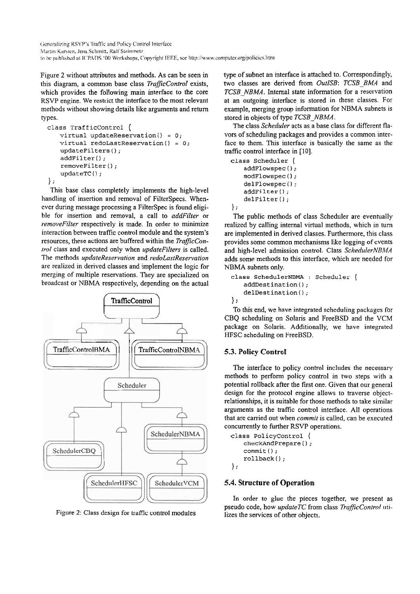Generalizing RSVP's Traffic and Policy Control Interface Martin Karsten, Jens Schmitt, Ralf Steinmetz to be published at ICPADS '00 Workshops, Copyright IEEE, see http://www.computer.org/policies.htm

Figure 2 without attributes and methods. As can be seen in this diagram, a common base class TrafficControl exists, which provides the following main interface to the core RSVP engine. We restrict the interface to the most relevant methods without showing details like arguments and return types.

```
class TrafficControl {
   virtual updateReservation() = 0;virtual redoLastReservation() = 0;
   updateFilters();
   addFilter();
   removeFilter();
   updateTC();
\};
```
This base class completely implements the high-level handling of insertion and removal of FilterSpecs. Whenever during message processing a FilterSpec is found eligible for insertion and removal, a call to *addFilter* or removeFilter respectively is made. In order to minimize interaction between traffic control module and the system's resources, these actions are buffered within the TrafficControl class and executed only when *updateFilters* is called. The methods updateReservation and redoLastReservation are realized in derived classes and implement the logic for merging of multiple reservations. They are specialized on broadcast or NBMA respectively, depending on the actual





type of subnet an interface is attached to. Correspondingly, two classes are derived from OutISB: TCSB BMA and TCSB NBMA. Internal state information for a reservation at an outgoing interface is stored in these classes. For example, merging group information for NBMA subnets is stored in objects of type TCSB NBMA.

The class Scheduler acts as a base class for different flavors of scheduling packages and provides a common interface to them. This interface is basically the same as the traffic control interface in [10].

```
class Scheduler {
   addFlowspec();
   modFlowspec();
   delFlowspec();
   addFilter();
   delFilter();
\};
```
The public methods of class Scheduler are eventually realized by calling internal virtual methods, which in turn are implemented in derived classes. Furthermore, this class provides some common mechanisms like logging of events and high-level admission control. Class SchedulerNBMA adds some methods to this interface, which are needed for NBMA subnets only.

```
class SchedulerNBMA : Scheduler {
   addDestination();
   delDestination();
\};
```
To this end, we have integrated scheduling packages for CBQ scheduling on Solaris and FreeBSD and the VCM package on Solaris. Additionally, we have integrated HFSC scheduling on FreeBSD.

## 5.3. Policy Control

The interface to policy control includes the necessary methods to perform policy control in two steps with a potential rollback after the first one. Given that our general design for the protocol engine allows to traverse objectrelationships, it is suitable for those methods to take similar arguments as the traffic control interface. All operations that are carried out when *commit* is called, can be executed concurrently to further RSVP operations.

```
class PolicyControl {
   checkAndPrepare();
   commit();
   rollback();
\} ;
```
## 5.4. Structure of Operation

In order to glue the pieces together, we present as pseudo code, how updateTC from class TrafficControl utilizes the services of other objects.